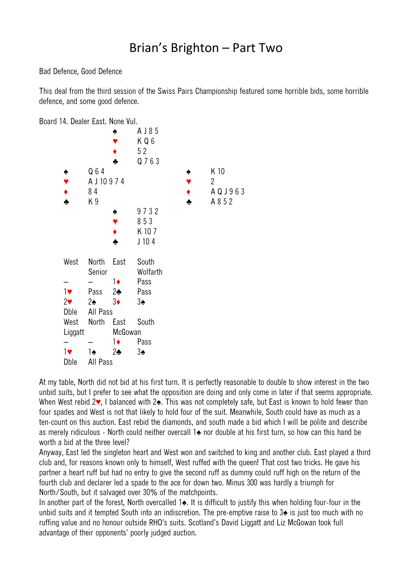## Brian's Brighton – Part Two

Bad Defence, Good Defence

This deal from the third session of the Swiss Pairs Championship featured some horrible bids, some horrible defence, and some good defence.

Board 14. Dealer East. None Vul.



At my table, North did not bid at his first turn. It is perfectly reasonable to double to show interest in the two unbid suits, but I prefer to see what the opposition are doing and only come in later if that seems appropriate. When West rebid 2♥, I balanced with 2♠. This was not completely safe, but East is known to hold fewer than four spades and West is not that likely to hold four of the suit. Meanwhile, South could have as much as a ten-count on this auction. East rebid the diamonds, and south made a bid which I will be polite and describe as merely ridiculous - North could neither overcall 1♠ nor double at his first turn, so how can this hand be worth a bid at the three level?

Anyway, East led the singleton heart and West won and switched to king and another club. East played a third club and, for reasons known only to himself, West ruffed with the queen! That cost two tricks. He gave his partner a heart ruff but had no entry to give the second ruff as dummy could ruff high on the return of the fourth club and declarer led a spade to the ace for down two. Minus 300 was hardly a triumph for North/South, but it salvaged over 30% of the matchpoints.

In another part of the forest, North overcalled 1♠. It is difficult to justify this when holding four-four in the unbid suits and it tempted South into an indiscretion. The pre-emptive raise to 3♠ is just too much with no ruffing value and no honour outside RHO's suits. Scotland's David Liggatt and Liz McGowan took full advantage of their opponents' poorly judged auction.